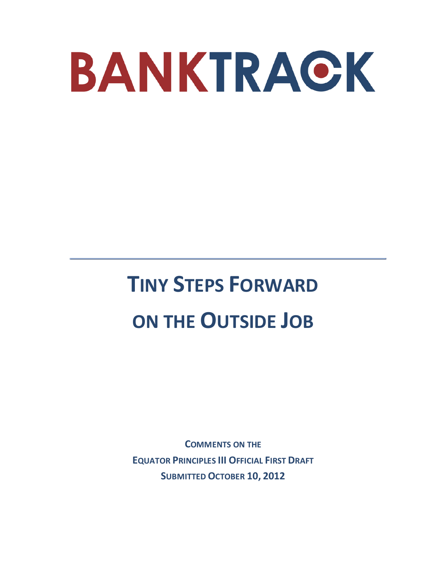

# **TINY STEPS FORWARD ON THE OUTSIDE JOB**

**COMMENTS ON THE EQUATOR PRINCIPLES III OFFICIAL FIRST DRAFT SUBMITTED OCTOBER 10, 2012**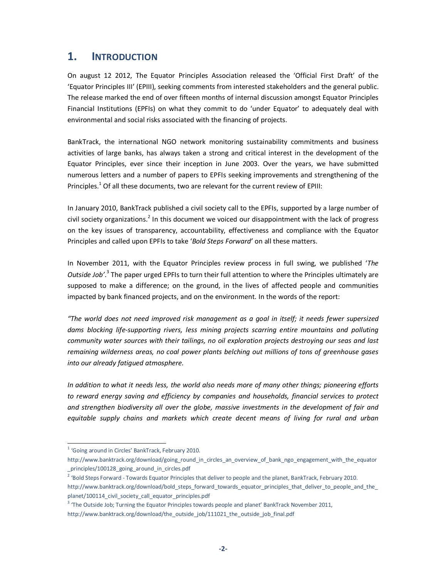# **1. INTRODUCTION**

On august 12 2012, The Equator Principles Association released the 'Official First Draft' of the 'Equator Principles III' (EPIII), seeking comments from interested stakeholders and the general public. The release marked the end of over fifteen months of internal discussion amongst Equator Principles Financial Institutions (EPFIs) on what they commit to do 'under Equator' to adequately deal with environmental and social risks associated with the financing of projects.

BankTrack, the international NGO network monitoring sustainability commitments and business activities of large banks, has always taken a strong and critical interest in the development of the Equator Principles, ever since their inception in June 2003. Over the years, we have submitted numerous letters and a number of papers to EPFIs seeking improvements and strengthening of the Principles.<sup>1</sup> Of all these documents, two are relevant for the current review of EPIII:

In January 2010, BankTrack published a civil society call to the EPFIs, supported by a large number of civil society organizations.<sup>2</sup> In this document we voiced our disappointment with the lack of progress on the key issues of transparency, accountability, effectiveness and compliance with the Equator Principles and called upon EPFIs to take '*Bold Steps Forward'* on all these matters.

In November 2011, with the Equator Principles review process in full swing, we published '*The*  Outside Job<sup>'</sup>.<sup>3</sup> The paper urged EPFIs to turn their full attention to where the Principles ultimately are supposed to make a difference; on the ground, in the lives of affected people and communities impacted by bank financed projects, and on the environment. In the words of the report:

*"The world does not need improved risk management as a goal in itself; it needs fewer supersized dams blocking life-supporting rivers, less mining projects scarring entire mountains and polluting community water sources with their tailings, no oil exploration projects destroying our seas and last remaining wilderness areas, no coal power plants belching out millions of tons of greenhouse gases into our already fatigued atmosphere.* 

*In addition to what it needs less, the world also needs more of many other things; pioneering efforts to reward energy saving and efficiency by companies and households, financial services to protect and strengthen biodiversity all over the globe, massive investments in the development of fair and equitable supply chains and markets which create decent means of living for rural and urban* 

 $\overline{a}$ 

<sup>&</sup>lt;sup>1</sup> 'Going around in Circles' BankTrack, February 2010.

http://www.banktrack.org/download/going\_round\_in\_circles\_an\_overview\_of\_bank\_ngo\_engagement\_with\_the\_equator \_principles/100128\_going\_around\_in\_circles.pdf

<sup>&</sup>lt;sup>2</sup> 'Bold Steps Forward - Towards Equator Principles that deliver to people and the planet, BankTrack, February 2010. http://www.banktrack.org/download/bold\_steps\_forward\_towards\_equator\_principles\_that\_deliver\_to\_people\_and\_the planet/100114\_civil\_society\_call\_equator\_principles.pdf

<sup>&</sup>lt;sup>3</sup> 'The Outside Job; Turning the Equator Principles towards people and planet' BankTrack November 2011,

http://www.banktrack.org/download/the\_outside\_job/111021\_the\_outside\_job\_final.pdf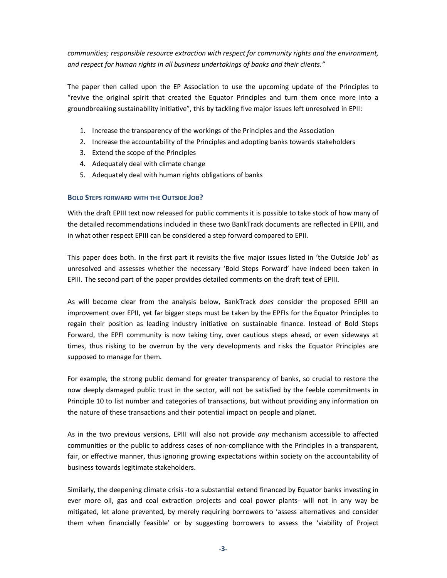*communities; responsible resource extraction with respect for community rights and the environment, and respect for human rights in all business undertakings of banks and their clients."* 

The paper then called upon the EP Association to use the upcoming update of the Principles to "revive the original spirit that created the Equator Principles and turn them once more into a groundbreaking sustainability initiative", this by tackling five major issues left unresolved in EPII:

- 1. Increase the transparency of the workings of the Principles and the Association
- 2. Increase the accountability of the Principles and adopting banks towards stakeholders
- 3. Extend the scope of the Principles
- 4. Adequately deal with climate change
- 5. Adequately deal with human rights obligations of banks

#### **BOLD STEPS FORWARD WITH THE OUTSIDE JOB?**

With the draft EPIII text now released for public comments it is possible to take stock of how many of the detailed recommendations included in these two BankTrack documents are reflected in EPIII, and in what other respect EPIII can be considered a step forward compared to EPII.

This paper does both. In the first part it revisits the five major issues listed in 'the Outside Job' as unresolved and assesses whether the necessary 'Bold Steps Forward' have indeed been taken in EPIII. The second part of the paper provides detailed comments on the draft text of EPIII.

As will become clear from the analysis below, BankTrack *does* consider the proposed EPIII an improvement over EPII, yet far bigger steps must be taken by the EPFIs for the Equator Principles to regain their position as leading industry initiative on sustainable finance. Instead of Bold Steps Forward, the EPFI community is now taking tiny, over cautious steps ahead, or even sideways at times, thus risking to be overrun by the very developments and risks the Equator Principles are supposed to manage for them.

For example, the strong public demand for greater transparency of banks, so crucial to restore the now deeply damaged public trust in the sector, will not be satisfied by the feeble commitments in Principle 10 to list number and categories of transactions, but without providing any information on the nature of these transactions and their potential impact on people and planet.

As in the two previous versions, EPIII will also not provide *any* mechanism accessible to affected communities or the public to address cases of non-compliance with the Principles in a transparent, fair, or effective manner, thus ignoring growing expectations within society on the accountability of business towards legitimate stakeholders.

Similarly, the deepening climate crisis -to a substantial extend financed by Equator banks investing in ever more oil, gas and coal extraction projects and coal power plants- will not in any way be mitigated, let alone prevented, by merely requiring borrowers to 'assess alternatives and consider them when financially feasible' or by suggesting borrowers to assess the 'viability of Project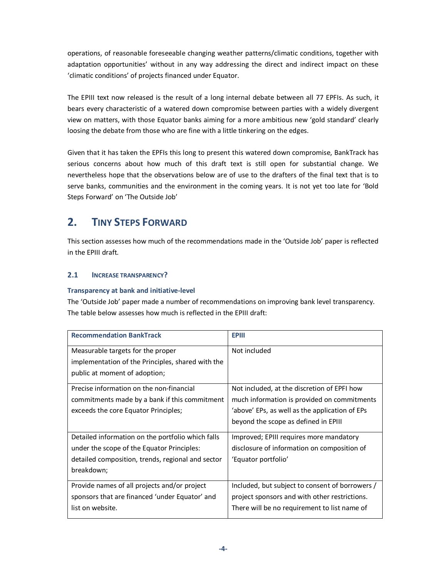operations, of reasonable foreseeable changing weather patterns/climatic conditions, together with adaptation opportunities' without in any way addressing the direct and indirect impact on these 'climatic conditions' of projects financed under Equator.

The EPIII text now released is the result of a long internal debate between all 77 EPFIs. As such, it bears every characteristic of a watered down compromise between parties with a widely divergent view on matters, with those Equator banks aiming for a more ambitious new 'gold standard' clearly loosing the debate from those who are fine with a little tinkering on the edges.

Given that it has taken the EPFIs this long to present this watered down compromise, BankTrack has serious concerns about how much of this draft text is still open for substantial change. We nevertheless hope that the observations below are of use to the drafters of the final text that is to serve banks, communities and the environment in the coming years. It is not yet too late for 'Bold Steps Forward' on 'The Outside Job'

# **2. TINY STEPS FORWARD**

This section assesses how much of the recommendations made in the 'Outside Job' paper is reflected in the EPIII draft.

# **2.1 INCREASE TRANSPARENCY?**

# **Transparency at bank and initiative-level**

The 'Outside Job' paper made a number of recommendations on improving bank level transparency. The table below assesses how much is reflected in the EPIII draft:

| <b>EPIII</b>                                    |
|-------------------------------------------------|
| Not included                                    |
|                                                 |
|                                                 |
| Not included, at the discretion of EPFI how     |
| much information is provided on commitments     |
| 'above' EPs, as well as the application of EPs  |
| beyond the scope as defined in EPIII            |
| Improved; EPIII requires more mandatory         |
| disclosure of information on composition of     |
| 'Equator portfolio'                             |
|                                                 |
| Included, but subject to consent of borrowers / |
| project sponsors and with other restrictions.   |
| There will be no requirement to list name of    |
|                                                 |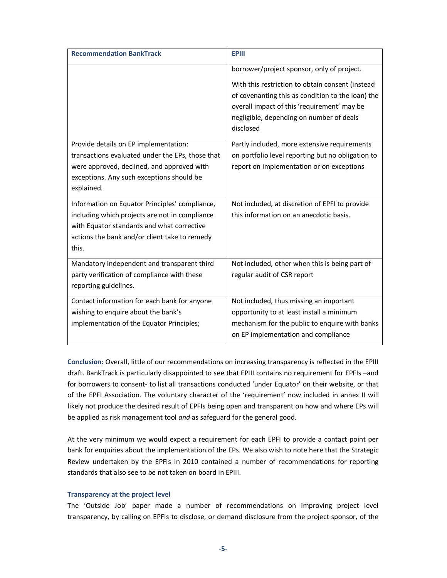| <b>Recommendation BankTrack</b>                  | <b>EPIII</b>                                                                                                                                                                                                  |
|--------------------------------------------------|---------------------------------------------------------------------------------------------------------------------------------------------------------------------------------------------------------------|
|                                                  | borrower/project sponsor, only of project.                                                                                                                                                                    |
|                                                  | With this restriction to obtain consent (instead<br>of covenanting this as condition to the loan) the<br>overall impact of this 'requirement' may be<br>negligible, depending on number of deals<br>disclosed |
| Provide details on EP implementation:            | Partly included, more extensive requirements                                                                                                                                                                  |
| transactions evaluated under the EPs, those that | on portfolio level reporting but no obligation to                                                                                                                                                             |
| were approved, declined, and approved with       | report on implementation or on exceptions                                                                                                                                                                     |
| exceptions. Any such exceptions should be        |                                                                                                                                                                                                               |
| explained.                                       |                                                                                                                                                                                                               |
| Information on Equator Principles' compliance,   | Not included, at discretion of EPFI to provide                                                                                                                                                                |
| including which projects are not in compliance   | this information on an anecdotic basis.                                                                                                                                                                       |
| with Equator standards and what corrective       |                                                                                                                                                                                                               |
| actions the bank and/or client take to remedy    |                                                                                                                                                                                                               |
| this.                                            |                                                                                                                                                                                                               |
| Mandatory independent and transparent third      | Not included, other when this is being part of                                                                                                                                                                |
| party verification of compliance with these      | regular audit of CSR report                                                                                                                                                                                   |
| reporting guidelines.                            |                                                                                                                                                                                                               |
| Contact information for each bank for anyone     | Not included, thus missing an important                                                                                                                                                                       |
| wishing to enquire about the bank's              | opportunity to at least install a minimum                                                                                                                                                                     |
| implementation of the Equator Principles;        | mechanism for the public to enquire with banks                                                                                                                                                                |
|                                                  | on EP implementation and compliance                                                                                                                                                                           |
|                                                  |                                                                                                                                                                                                               |

**Conclusion:** Overall, little of our recommendations on increasing transparency is reflected in the EPIII draft. BankTrack is particularly disappointed to see that EPIII contains no requirement for EPFIs –and for borrowers to consent- to list all transactions conducted 'under Equator' on their website, or that of the EPFI Association. The voluntary character of the 'requirement' now included in annex II will likely not produce the desired result of EPFIs being open and transparent on how and where EPs will be applied as risk management tool *and* as safeguard for the general good.

At the very minimum we would expect a requirement for each EPFI to provide a contact point per bank for enquiries about the implementation of the EPs. We also wish to note here that the Strategic Review undertaken by the EPFIs in 2010 contained a number of recommendations for reporting standards that also see to be not taken on board in EPIII.

#### **Transparency at the project level**

The 'Outside Job' paper made a number of recommendations on improving project level transparency, by calling on EPFIs to disclose, or demand disclosure from the project sponsor, of the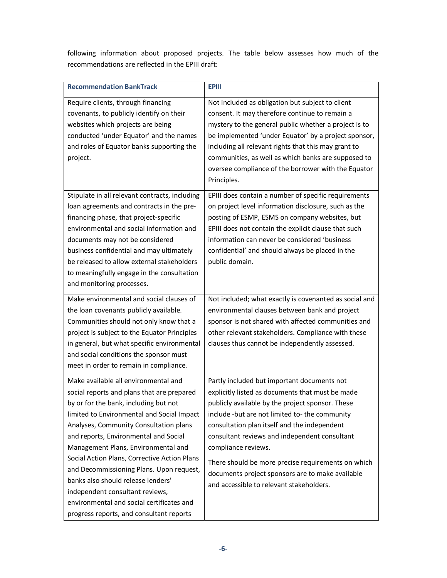following information about proposed projects. The table below assesses how much of the recommendations are reflected in the EPIII draft:

| <b>Recommendation BankTrack</b>                                                                                                                                                                                                                                                                                                                                                                                                                                                                                                                                   | <b>EPIII</b>                                                                                                                                                                                                                                                                                                                                                                                                                                                                        |
|-------------------------------------------------------------------------------------------------------------------------------------------------------------------------------------------------------------------------------------------------------------------------------------------------------------------------------------------------------------------------------------------------------------------------------------------------------------------------------------------------------------------------------------------------------------------|-------------------------------------------------------------------------------------------------------------------------------------------------------------------------------------------------------------------------------------------------------------------------------------------------------------------------------------------------------------------------------------------------------------------------------------------------------------------------------------|
| Require clients, through financing<br>covenants, to publicly identify on their<br>websites which projects are being<br>conducted 'under Equator' and the names<br>and roles of Equator banks supporting the<br>project.                                                                                                                                                                                                                                                                                                                                           | Not included as obligation but subject to client<br>consent. It may therefore continue to remain a<br>mystery to the general public whether a project is to<br>be implemented 'under Equator' by a project sponsor,<br>including all relevant rights that this may grant to<br>communities, as well as which banks are supposed to<br>oversee compliance of the borrower with the Equator<br>Principles.                                                                            |
| Stipulate in all relevant contracts, including<br>loan agreements and contracts in the pre-<br>financing phase, that project-specific<br>environmental and social information and<br>documents may not be considered<br>business confidential and may ultimately<br>be released to allow external stakeholders<br>to meaningfully engage in the consultation<br>and monitoring processes.                                                                                                                                                                         | EPIII does contain a number of specific requirements<br>on project level information disclosure, such as the<br>posting of ESMP, ESMS on company websites, but<br>EPIII does not contain the explicit clause that such<br>information can never be considered 'business<br>confidential' and should always be placed in the<br>public domain.                                                                                                                                       |
| Make environmental and social clauses of<br>the loan covenants publicly available.<br>Communities should not only know that a<br>project is subject to the Equator Principles<br>in general, but what specific environmental<br>and social conditions the sponsor must<br>meet in order to remain in compliance.                                                                                                                                                                                                                                                  | Not included; what exactly is covenanted as social and<br>environmental clauses between bank and project<br>sponsor is not shared with affected communities and<br>other relevant stakeholders. Compliance with these<br>clauses thus cannot be independently assessed.                                                                                                                                                                                                             |
| Make available all environmental and<br>social reports and plans that are prepared<br>by or for the bank, including but not<br>limited to Environmental and Social Impact<br>Analyses, Community Consultation plans<br>and reports, Environmental and Social<br>Management Plans, Environmental and<br>Social Action Plans, Corrective Action Plans<br>and Decommissioning Plans. Upon request,<br>banks also should release lenders'<br>independent consultant reviews,<br>environmental and social certificates and<br>progress reports, and consultant reports | Partly included but important documents not<br>explicitly listed as documents that must be made<br>publicly available by the project sponsor. These<br>include -but are not limited to- the community<br>consultation plan itself and the independent<br>consultant reviews and independent consultant<br>compliance reviews.<br>There should be more precise requirements on which<br>documents project sponsors are to make available<br>and accessible to relevant stakeholders. |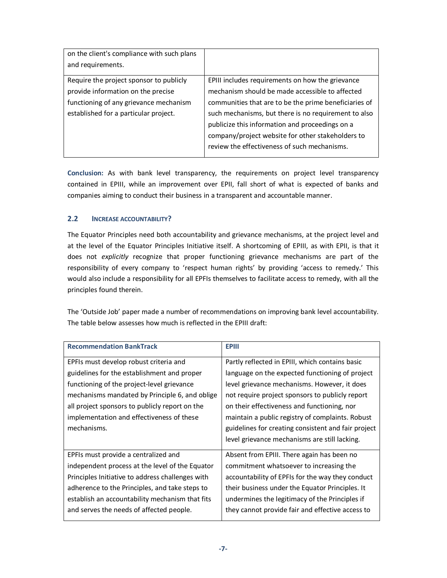| on the client's compliance with such plans |                                                       |
|--------------------------------------------|-------------------------------------------------------|
| and requirements.                          |                                                       |
| Require the project sponsor to publicly    | EPIII includes requirements on how the grievance      |
| provide information on the precise         | mechanism should be made accessible to affected       |
| functioning of any grievance mechanism     | communities that are to be the prime beneficiaries of |
| established for a particular project.      | such mechanisms, but there is no requirement to also  |
|                                            | publicize this information and proceedings on a       |
|                                            | company/project website for other stakeholders to     |
|                                            | review the effectiveness of such mechanisms.          |
|                                            |                                                       |

**Conclusion:** As with bank level transparency, the requirements on project level transparency contained in EPIII, while an improvement over EPII, fall short of what is expected of banks and companies aiming to conduct their business in a transparent and accountable manner.

# **2.2 INCREASE ACCOUNTABILITY?**

The Equator Principles need both accountability and grievance mechanisms, at the project level and at the level of the Equator Principles Initiative itself. A shortcoming of EPIII, as with EPII, is that it does not *explicitly* recognize that proper functioning grievance mechanisms are part of the responsibility of every company to 'respect human rights' by providing 'access to remedy.' This would also include a responsibility for all EPFIs themselves to facilitate access to remedy, with all the principles found therein.

The 'Outside Job' paper made a number of recommendations on improving bank level accountability. The table below assesses how much is reflected in the EPIII draft:

| <b>Recommendation BankTrack</b>                  | <b>EPIII</b>                                        |
|--------------------------------------------------|-----------------------------------------------------|
| EPFIs must develop robust criteria and           | Partly reflected in EPIII, which contains basic     |
| guidelines for the establishment and proper      | language on the expected functioning of project     |
| functioning of the project-level grievance       | level grievance mechanisms. However, it does        |
| mechanisms mandated by Principle 6, and oblige   | not require project sponsors to publicly report     |
| all project sponsors to publicly report on the   | on their effectiveness and functioning, nor         |
| implementation and effectiveness of these        | maintain a public registry of complaints. Robust    |
| mechanisms.                                      | guidelines for creating consistent and fair project |
|                                                  | level grievance mechanisms are still lacking.       |
| EPFIs must provide a centralized and             | Absent from EPIII. There again has been no          |
| independent process at the level of the Equator  | commitment whatsoever to increasing the             |
| Principles Initiative to address challenges with | accountability of EPFIs for the way they conduct    |
| adherence to the Principles, and take steps to   | their business under the Equator Principles. It     |
| establish an accountability mechanism that fits  | undermines the legitimacy of the Principles if      |
| and serves the needs of affected people.         | they cannot provide fair and effective access to    |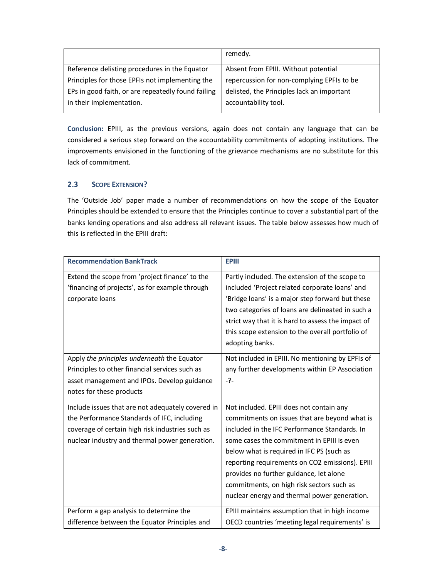|                                                    | remedy.                                    |
|----------------------------------------------------|--------------------------------------------|
| Reference delisting procedures in the Equator      | Absent from EPIII. Without potential       |
| Principles for those EPFIs not implementing the    | repercussion for non-complying EPFIs to be |
| EPs in good faith, or are repeatedly found failing | delisted, the Principles lack an important |
| in their implementation.                           | accountability tool.                       |

**Conclusion:** EPIII, as the previous versions, again does not contain any language that can be considered a serious step forward on the accountability commitments of adopting institutions. The improvements envisioned in the functioning of the grievance mechanisms are no substitute for this lack of commitment.

# **2.3 SCOPE EXTENSION?**

The 'Outside Job' paper made a number of recommendations on how the scope of the Equator Principles should be extended to ensure that the Principles continue to cover a substantial part of the banks lending operations and also address all relevant issues. The table below assesses how much of this is reflected in the EPIII draft:

| <b>Recommendation BankTrack</b>                                                                                                                                                                        | <b>EPIII</b>                                                                                                                                                                                                                                                                                                                                                                                                                     |
|--------------------------------------------------------------------------------------------------------------------------------------------------------------------------------------------------------|----------------------------------------------------------------------------------------------------------------------------------------------------------------------------------------------------------------------------------------------------------------------------------------------------------------------------------------------------------------------------------------------------------------------------------|
| Extend the scope from 'project finance' to the<br>'financing of projects', as for example through<br>corporate loans                                                                                   | Partly included. The extension of the scope to<br>included 'Project related corporate loans' and<br>'Bridge loans' is a major step forward but these<br>two categories of loans are delineated in such a<br>strict way that it is hard to assess the impact of<br>this scope extension to the overall portfolio of<br>adopting banks.                                                                                            |
| Apply the principles underneath the Equator<br>Principles to other financial services such as<br>asset management and IPOs. Develop guidance<br>notes for these products                               | Not included in EPIII. No mentioning by EPFIs of<br>any further developments within EP Association<br>$-?-$                                                                                                                                                                                                                                                                                                                      |
| Include issues that are not adequately covered in<br>the Performance Standards of IFC, including<br>coverage of certain high risk industries such as<br>nuclear industry and thermal power generation. | Not included. EPIII does not contain any<br>commitments on issues that are beyond what is<br>included in the IFC Performance Standards. In<br>some cases the commitment in EPIII is even<br>below what is required in IFC PS (such as<br>reporting requirements on CO2 emissions). EPIII<br>provides no further guidance, let alone<br>commitments, on high risk sectors such as<br>nuclear energy and thermal power generation. |
| Perform a gap analysis to determine the<br>difference between the Equator Principles and                                                                                                               | EPIII maintains assumption that in high income<br>OECD countries 'meeting legal requirements' is                                                                                                                                                                                                                                                                                                                                 |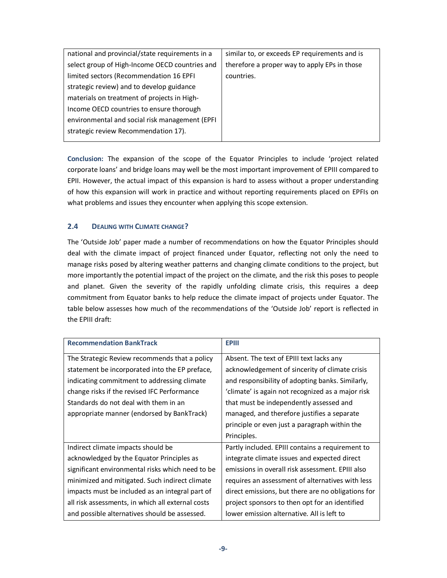| national and provincial/state requirements in a | similar to, or exceeds EP requirements and is |
|-------------------------------------------------|-----------------------------------------------|
| select group of High-Income OECD countries and  | therefore a proper way to apply EPs in those  |
| limited sectors (Recommendation 16 EPFI         | countries.                                    |
| strategic review) and to develop guidance       |                                               |
| materials on treatment of projects in High-     |                                               |
| Income OECD countries to ensure thorough        |                                               |
| environmental and social risk management (EPFI  |                                               |
| strategic review Recommendation 17).            |                                               |
|                                                 |                                               |

**Conclusion:** The expansion of the scope of the Equator Principles to include 'project related corporate loans' and bridge loans may well be the most important improvement of EPIII compared to EPII. However, the actual impact of this expansion is hard to assess without a proper understanding of how this expansion will work in practice and without reporting requirements placed on EPFIs on what problems and issues they encounter when applying this scope extension.

# **2.4 DEALING WITH CLIMATE CHANGE?**

The 'Outside Job' paper made a number of recommendations on how the Equator Principles should deal with the climate impact of project financed under Equator, reflecting not only the need to manage risks posed by altering weather patterns and changing climate conditions to the project, but more importantly the potential impact of the project on the climate, and the risk this poses to people and planet. Given the severity of the rapidly unfolding climate crisis, this requires a deep commitment from Equator banks to help reduce the climate impact of projects under Equator. The table below assesses how much of the recommendations of the 'Outside Job' report is reflected in the EPIII draft:

| <b>Recommendation BankTrack</b>                   | <b>EPIII</b>                                       |
|---------------------------------------------------|----------------------------------------------------|
| The Strategic Review recommends that a policy     | Absent. The text of EPIII text lacks any           |
| statement be incorporated into the EP preface,    | acknowledgement of sincerity of climate crisis     |
| indicating commitment to addressing climate       | and responsibility of adopting banks. Similarly,   |
| change risks if the revised IFC Performance       | 'climate' is again not recognized as a major risk  |
| Standards do not deal with them in an             | that must be independently assessed and            |
| appropriate manner (endorsed by BankTrack)        | managed, and therefore justifies a separate        |
|                                                   | principle or even just a paragraph within the      |
|                                                   | Principles.                                        |
| Indirect climate impacts should be                | Partly included. EPIII contains a requirement to   |
| acknowledged by the Equator Principles as         | integrate climate issues and expected direct       |
| significant environmental risks which need to be  | emissions in overall risk assessment. EPIII also   |
| minimized and mitigated. Such indirect climate    | requires an assessment of alternatives with less   |
| impacts must be included as an integral part of   | direct emissions, but there are no obligations for |
| all risk assessments, in which all external costs | project sponsors to then opt for an identified     |
| and possible alternatives should be assessed.     | lower emission alternative. All is left to         |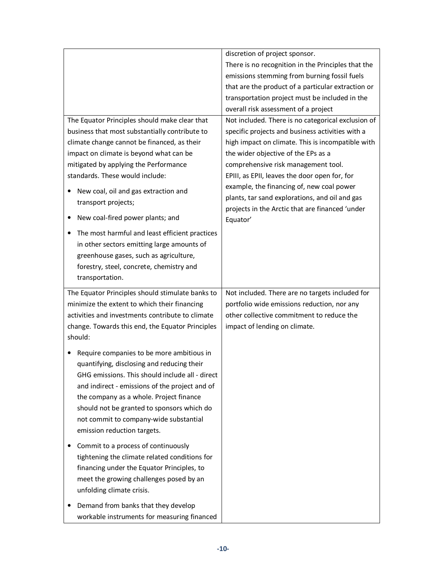|                                                                                                                                                                                                                                                                                                                                                                                                                                                                                                                                                                                  | discretion of project sponsor.                                                                                                                                                                                                                                                                                                                                                                                                                           |
|----------------------------------------------------------------------------------------------------------------------------------------------------------------------------------------------------------------------------------------------------------------------------------------------------------------------------------------------------------------------------------------------------------------------------------------------------------------------------------------------------------------------------------------------------------------------------------|----------------------------------------------------------------------------------------------------------------------------------------------------------------------------------------------------------------------------------------------------------------------------------------------------------------------------------------------------------------------------------------------------------------------------------------------------------|
|                                                                                                                                                                                                                                                                                                                                                                                                                                                                                                                                                                                  | There is no recognition in the Principles that the                                                                                                                                                                                                                                                                                                                                                                                                       |
|                                                                                                                                                                                                                                                                                                                                                                                                                                                                                                                                                                                  | emissions stemming from burning fossil fuels                                                                                                                                                                                                                                                                                                                                                                                                             |
|                                                                                                                                                                                                                                                                                                                                                                                                                                                                                                                                                                                  | that are the product of a particular extraction or                                                                                                                                                                                                                                                                                                                                                                                                       |
|                                                                                                                                                                                                                                                                                                                                                                                                                                                                                                                                                                                  | transportation project must be included in the                                                                                                                                                                                                                                                                                                                                                                                                           |
|                                                                                                                                                                                                                                                                                                                                                                                                                                                                                                                                                                                  | overall risk assessment of a project                                                                                                                                                                                                                                                                                                                                                                                                                     |
| The Equator Principles should make clear that<br>business that most substantially contribute to<br>climate change cannot be financed, as their<br>impact on climate is beyond what can be<br>mitigated by applying the Performance<br>standards. These would include:<br>New coal, oil and gas extraction and<br>٠<br>transport projects;<br>New coal-fired power plants; and<br>$\bullet$<br>The most harmful and least efficient practices<br>in other sectors emitting large amounts of<br>greenhouse gases, such as agriculture,<br>forestry, steel, concrete, chemistry and | Not included. There is no categorical exclusion of<br>specific projects and business activities with a<br>high impact on climate. This is incompatible with<br>the wider objective of the EPs as a<br>comprehensive risk management tool.<br>EPIII, as EPII, leaves the door open for, for<br>example, the financing of, new coal power<br>plants, tar sand explorations, and oil and gas<br>projects in the Arctic that are financed 'under<br>Equator' |
| transportation.                                                                                                                                                                                                                                                                                                                                                                                                                                                                                                                                                                  |                                                                                                                                                                                                                                                                                                                                                                                                                                                          |
| The Equator Principles should stimulate banks to                                                                                                                                                                                                                                                                                                                                                                                                                                                                                                                                 | Not included. There are no targets included for                                                                                                                                                                                                                                                                                                                                                                                                          |
| minimize the extent to which their financing                                                                                                                                                                                                                                                                                                                                                                                                                                                                                                                                     | portfolio wide emissions reduction, nor any                                                                                                                                                                                                                                                                                                                                                                                                              |
| activities and investments contribute to climate                                                                                                                                                                                                                                                                                                                                                                                                                                                                                                                                 | other collective commitment to reduce the                                                                                                                                                                                                                                                                                                                                                                                                                |
| change. Towards this end, the Equator Principles<br>should:                                                                                                                                                                                                                                                                                                                                                                                                                                                                                                                      | impact of lending on climate.                                                                                                                                                                                                                                                                                                                                                                                                                            |
| Require companies to be more ambitious in<br>٠<br>quantifying, disclosing and reducing their<br>GHG emissions. This should include all - direct<br>and indirect - emissions of the project and of<br>the company as a whole. Project finance<br>should not be granted to sponsors which do<br>not commit to company-wide substantial<br>emission reduction targets.                                                                                                                                                                                                              |                                                                                                                                                                                                                                                                                                                                                                                                                                                          |
| Commit to a process of continuously<br>tightening the climate related conditions for<br>financing under the Equator Principles, to<br>meet the growing challenges posed by an<br>unfolding climate crisis.                                                                                                                                                                                                                                                                                                                                                                       |                                                                                                                                                                                                                                                                                                                                                                                                                                                          |
| Demand from banks that they develop<br>workable instruments for measuring financed                                                                                                                                                                                                                                                                                                                                                                                                                                                                                               |                                                                                                                                                                                                                                                                                                                                                                                                                                                          |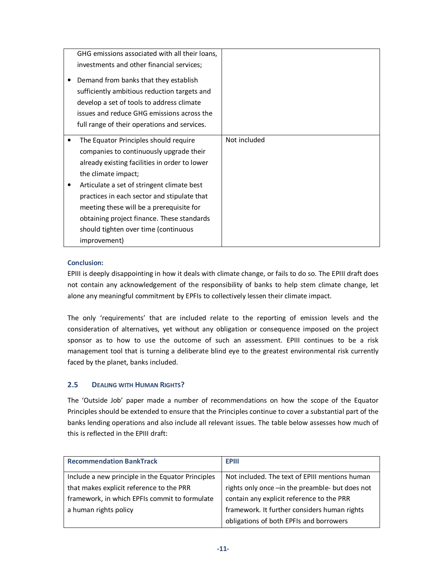| GHG emissions associated with all their loans, |              |
|------------------------------------------------|--------------|
| investments and other financial services;      |              |
| Demand from banks that they establish          |              |
| sufficiently ambitious reduction targets and   |              |
| develop a set of tools to address climate      |              |
| issues and reduce GHG emissions across the     |              |
| full range of their operations and services.   |              |
|                                                |              |
| The Equator Principles should require          | Not included |
| companies to continuously upgrade their        |              |
| already existing facilities in order to lower  |              |
| the climate impact;                            |              |
| Articulate a set of stringent climate best     |              |
| practices in each sector and stipulate that    |              |
| meeting these will be a prerequisite for       |              |
| obtaining project finance. These standards     |              |
| should tighten over time (continuous           |              |
| improvement)                                   |              |

# **Conclusion:**

EPIII is deeply disappointing in how it deals with climate change, or fails to do so. The EPIII draft does not contain any acknowledgement of the responsibility of banks to help stem climate change, let alone any meaningful commitment by EPFIs to collectively lessen their climate impact.

The only 'requirements' that are included relate to the reporting of emission levels and the consideration of alternatives, yet without any obligation or consequence imposed on the project sponsor as to how to use the outcome of such an assessment. EPIII continues to be a risk management tool that is turning a deliberate blind eye to the greatest environmental risk currently faced by the planet, banks included.

# **2.5 DEALING WITH HUMAN RIGHTS?**

The 'Outside Job' paper made a number of recommendations on how the scope of the Equator Principles should be extended to ensure that the Principles continue to cover a substantial part of the banks lending operations and also include all relevant issues. The table below assesses how much of this is reflected in the EPIII draft:

| <b>Recommendation BankTrack</b>                   | <b>EPIII</b>                                    |
|---------------------------------------------------|-------------------------------------------------|
| Include a new principle in the Equator Principles | Not included. The text of EPIII mentions human  |
| that makes explicit reference to the PRR          | rights only once -in the preamble- but does not |
| framework, in which EPFIs commit to formulate     | contain any explicit reference to the PRR       |
| a human rights policy                             | framework. It further considers human rights    |
|                                                   | obligations of both EPFIs and borrowers         |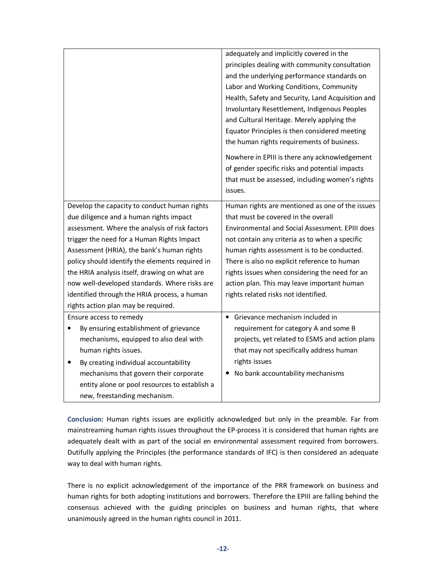|                                                    | adequately and implicitly covered in the          |
|----------------------------------------------------|---------------------------------------------------|
|                                                    | principles dealing with community consultation    |
|                                                    | and the underlying performance standards on       |
|                                                    | Labor and Working Conditions, Community           |
|                                                    | Health, Safety and Security, Land Acquisition and |
|                                                    | Involuntary Resettlement, Indigenous Peoples      |
|                                                    | and Cultural Heritage. Merely applying the        |
|                                                    | Equator Principles is then considered meeting     |
|                                                    | the human rights requirements of business.        |
|                                                    | Nowhere in EPIII is there any acknowledgement     |
|                                                    | of gender specific risks and potential impacts    |
|                                                    | that must be assessed, including women's rights   |
|                                                    | issues.                                           |
| Develop the capacity to conduct human rights       | Human rights are mentioned as one of the issues   |
| due diligence and a human rights impact            | that must be covered in the overall               |
| assessment. Where the analysis of risk factors     | Environmental and Social Assessment. EPIII does   |
| trigger the need for a Human Rights Impact         | not contain any criteria as to when a specific    |
| Assessment (HRIA), the bank's human rights         | human rights assessment is to be conducted.       |
| policy should identify the elements required in    | There is also no explicit reference to human      |
| the HRIA analysis itself, drawing on what are      | rights issues when considering the need for an    |
| now well-developed standards. Where risks are      | action plan. This may leave important human       |
| identified through the HRIA process, a human       | rights related risks not identified.              |
| rights action plan may be required.                |                                                   |
| Ensure access to remedy                            | Grievance mechanism included in                   |
| By ensuring establishment of grievance             | requirement for category A and some B             |
| mechanisms, equipped to also deal with             | projects, yet related to ESMS and action plans    |
| human rights issues.                               | that may not specifically address human           |
| By creating individual accountability<br>$\bullet$ | rights issues                                     |
| mechanisms that govern their corporate             | No bank accountability mechanisms                 |
| entity alone or pool resources to establish a      |                                                   |
| new, freestanding mechanism.                       |                                                   |

**Conclusion:** Human rights issues are explicitly acknowledged but only in the preamble. Far from mainstreaming human rights issues throughout the EP-process it is considered that human rights are adequately dealt with as part of the social en environmental assessment required from borrowers. Dutifully applying the Principles (the performance standards of IFC) is then considered an adequate way to deal with human rights.

There is no explicit acknowledgement of the importance of the PRR framework on business and human rights for both adopting institutions and borrowers. Therefore the EPIII are falling behind the consensus achieved with the guiding principles on business and human rights, that where unanimously agreed in the human rights council in 2011.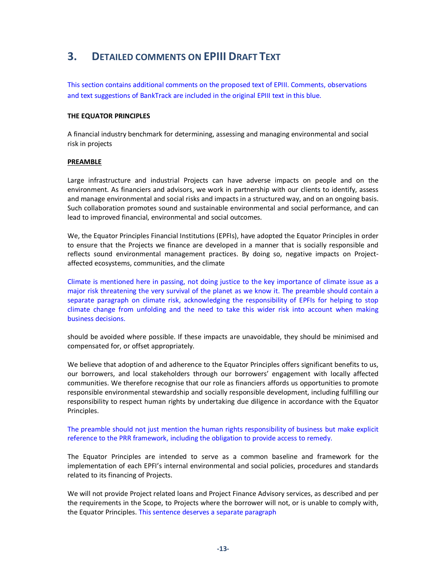# **3. DETAILED COMMENTS ON EPIII DRAFT TEXT**

This section contains additional comments on the proposed text of EPIII. Comments, observations and text suggestions of BankTrack are included in the original EPIII text in this blue.

#### **THE EQUATOR PRINCIPLES**

A financial industry benchmark for determining, assessing and managing environmental and social risk in projects

#### **PREAMBLE**

Large infrastructure and industrial Projects can have adverse impacts on people and on the environment. As financiers and advisors, we work in partnership with our clients to identify, assess and manage environmental and social risks and impacts in a structured way, and on an ongoing basis. Such collaboration promotes sound and sustainable environmental and social performance, and can lead to improved financial, environmental and social outcomes.

We, the Equator Principles Financial Institutions (EPFIs), have adopted the Equator Principles in order to ensure that the Projects we finance are developed in a manner that is socially responsible and reflects sound environmental management practices. By doing so, negative impacts on Projectaffected ecosystems, communities, and the climate

Climate is mentioned here in passing, not doing justice to the key importance of climate issue as a major risk threatening the very survival of the planet as we know it. The preamble should contain a separate paragraph on climate risk, acknowledging the responsibility of EPFIs for helping to stop climate change from unfolding and the need to take this wider risk into account when making business decisions.

should be avoided where possible. If these impacts are unavoidable, they should be minimised and compensated for, or offset appropriately.

We believe that adoption of and adherence to the Equator Principles offers significant benefits to us, our borrowers, and local stakeholders through our borrowers' engagement with locally affected communities. We therefore recognise that our role as financiers affords us opportunities to promote responsible environmental stewardship and socially responsible development, including fulfilling our responsibility to respect human rights by undertaking due diligence in accordance with the Equator Principles.

#### The preamble should not just mention the human rights responsibility of business but make explicit reference to the PRR framework, including the obligation to provide access to remedy.

The Equator Principles are intended to serve as a common baseline and framework for the implementation of each EPFI's internal environmental and social policies, procedures and standards related to its financing of Projects.

We will not provide Project related loans and Project Finance Advisory services, as described and per the requirements in the Scope, to Projects where the borrower will not, or is unable to comply with, the Equator Principles. This sentence deserves a separate paragraph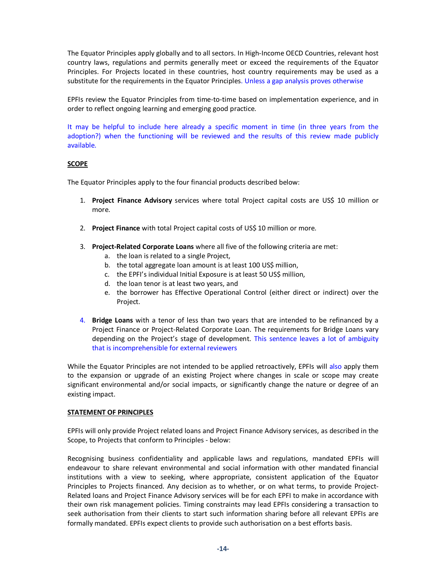The Equator Principles apply globally and to all sectors. In High-Income OECD Countries, relevant host country laws, regulations and permits generally meet or exceed the requirements of the Equator Principles. For Projects located in these countries, host country requirements may be used as a substitute for the requirements in the Equator Principles. Unless a gap analysis proves otherwise

EPFIs review the Equator Principles from time-to-time based on implementation experience, and in order to reflect ongoing learning and emerging good practice.

It may be helpful to include here already a specific moment in time (in three years from the adoption?) when the functioning will be reviewed and the results of this review made publicly available.

#### **SCOPE**

The Equator Principles apply to the four financial products described below:

- 1. **Project Finance Advisory** services where total Project capital costs are US\$ 10 million or more.
- 2. **Project Finance** with total Project capital costs of US\$ 10 million or more.
- 3. **Project-Related Corporate Loans** where all five of the following criteria are met:
	- a. the loan is related to a single Project,
	- b. the total aggregate loan amount is at least 100 US\$ million,
	- c. the EPFI's individual Initial Exposure is at least 50 US\$ million,
	- d. the loan tenor is at least two years, and
	- e. the borrower has Effective Operational Control (either direct or indirect) over the Project.
- 4. **Bridge Loans** with a tenor of less than two years that are intended to be refinanced by a Project Finance or Project-Related Corporate Loan. The requirements for Bridge Loans vary depending on the Project's stage of development. This sentence leaves a lot of ambiguity that is incomprehensible for external reviewers

While the Equator Principles are not intended to be applied retroactively, EPFIs will also apply them to the expansion or upgrade of an existing Project where changes in scale or scope may create significant environmental and/or social impacts, or significantly change the nature or degree of an existing impact.

#### **STATEMENT OF PRINCIPLES**

EPFIs will only provide Project related loans and Project Finance Advisory services, as described in the Scope, to Projects that conform to Principles - below:

Recognising business confidentiality and applicable laws and regulations, mandated EPFIs will endeavour to share relevant environmental and social information with other mandated financial institutions with a view to seeking, where appropriate, consistent application of the Equator Principles to Projects financed*.* Any decision as to whether, or on what terms, to provide Project-Related loans and Project Finance Advisory services will be for each EPFI to make in accordance with their own risk management policies. Timing constraints may lead EPFIs considering a transaction to seek authorisation from their clients to start such information sharing before all relevant EPFIs are formally mandated. EPFIs expect clients to provide such authorisation on a best efforts basis.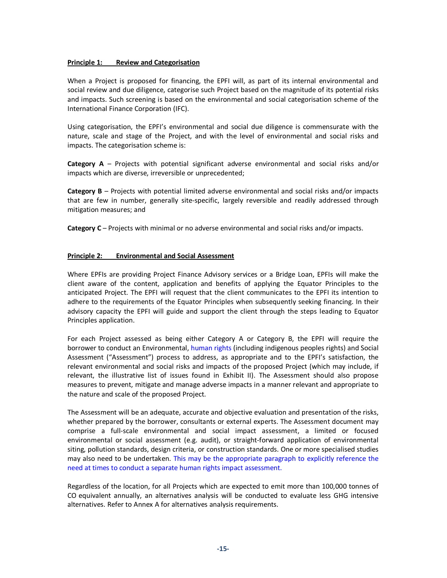#### **Principle 1: Review and Categorisation**

When a Project is proposed for financing, the EPFI will, as part of its internal environmental and social review and due diligence, categorise such Project based on the magnitude of its potential risks and impacts. Such screening is based on the environmental and social categorisation scheme of the International Finance Corporation (IFC).

Using categorisation, the EPFI's environmental and social due diligence is commensurate with the nature, scale and stage of the Project, and with the level of environmental and social risks and impacts. The categorisation scheme is:

**Category A** – Projects with potential significant adverse environmental and social risks and/or impacts which are diverse, irreversible or unprecedented;

**Category B** – Projects with potential limited adverse environmental and social risks and/or impacts that are few in number, generally site-specific, largely reversible and readily addressed through mitigation measures; and

Category C – Projects with minimal or no adverse environmental and social risks and/or impacts.

#### **Principle 2: Environmental and Social Assessment**

Where EPFIs are providing Project Finance Advisory services or a Bridge Loan, EPFIs will make the client aware of the content, application and benefits of applying the Equator Principles to the anticipated Project. The EPFI will request that the client communicates to the EPFI its intention to adhere to the requirements of the Equator Principles when subsequently seeking financing. In their advisory capacity the EPFI will guide and support the client through the steps leading to Equator Principles application.

For each Project assessed as being either Category A or Category B, the EPFI will require the borrower to conduct an Environmental, human rights (including indigenous peoples rights) and Social Assessment ("Assessment") process to address, as appropriate and to the EPFI's satisfaction, the relevant environmental and social risks and impacts of the proposed Project (which may include, if relevant, the illustrative list of issues found in Exhibit II). The Assessment should also propose measures to prevent, mitigate and manage adverse impacts in a manner relevant and appropriate to the nature and scale of the proposed Project.

The Assessment will be an adequate, accurate and objective evaluation and presentation of the risks, whether prepared by the borrower, consultants or external experts. The Assessment document may comprise a full-scale environmental and social impact assessment, a limited or focused environmental or social assessment (e.g. audit), or straight-forward application of environmental siting, pollution standards, design criteria, or construction standards. One or more specialised studies may also need to be undertaken. This may be the appropriate paragraph to explicitly reference the need at times to conduct a separate human rights impact assessment.

Regardless of the location, for all Projects which are expected to emit more than 100,000 tonnes of CO equivalent annually, an alternatives analysis will be conducted to evaluate less GHG intensive alternatives. Refer to Annex A for alternatives analysis requirements.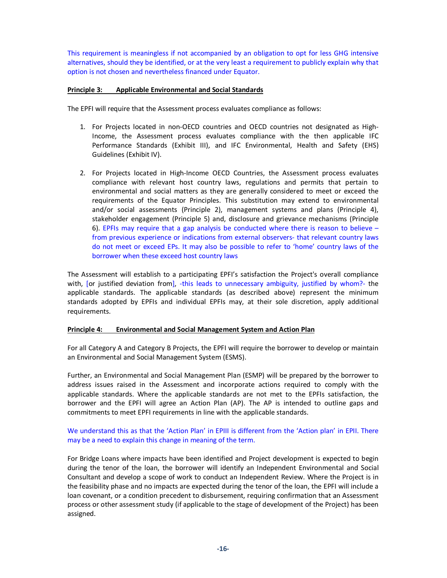This requirement is meaningless if not accompanied by an obligation to opt for less GHG intensive alternatives, should they be identified, or at the very least a requirement to publicly explain why that option is not chosen and nevertheless financed under Equator.

#### **Principle 3: Applicable Environmental and Social Standards**

The EPFI will require that the Assessment process evaluates compliance as follows:

- 1. For Projects located in non-OECD countries and OECD countries not designated as High-Income, the Assessment process evaluates compliance with the then applicable IFC Performance Standards (Exhibit III), and IFC Environmental, Health and Safety (EHS) Guidelines (Exhibit IV).
- 2. For Projects located in High-Income OECD Countries, the Assessment process evaluates compliance with relevant host country laws, regulations and permits that pertain to environmental and social matters as they are generally considered to meet or exceed the requirements of the Equator Principles. This substitution may extend to environmental and/or social assessments (Principle 2), management systems and plans (Principle 4), stakeholder engagement (Principle 5) and, disclosure and grievance mechanisms (Principle 6). EPFIs may require that a gap analysis be conducted where there is reason to believe  $$ from previous experience or indications from external observers- that relevant country laws do not meet or exceed EPs. It may also be possible to refer to 'home' country laws of the borrower when these exceed host country laws

The Assessment will establish to a participating EPFI's satisfaction the Project's overall compliance with, [or justified deviation from], -this leads to unnecessary ambiguity, justified by whom?- the applicable standards. The applicable standards (as described above) represent the minimum standards adopted by EPFIs and individual EPFIs may, at their sole discretion, apply additional requirements.

#### **Principle 4: Environmental and Social Management System and Action Plan**

For all Category A and Category B Projects, the EPFI will require the borrower to develop or maintain an Environmental and Social Management System (ESMS).

Further, an Environmental and Social Management Plan (ESMP) will be prepared by the borrower to address issues raised in the Assessment and incorporate actions required to comply with the applicable standards. Where the applicable standards are not met to the EPFIs satisfaction, the borrower and the EPFI will agree an Action Plan (AP). The AP is intended to outline gaps and commitments to meet EPFI requirements in line with the applicable standards.

# We understand this as that the 'Action Plan' in EPIII is different from the 'Action plan' in EPII. There may be a need to explain this change in meaning of the term.

For Bridge Loans where impacts have been identified and Project development is expected to begin during the tenor of the loan, the borrower will identify an Independent Environmental and Social Consultant and develop a scope of work to conduct an Independent Review. Where the Project is in the feasibility phase and no impacts are expected during the tenor of the loan, the EPFI will include a loan covenant, or a condition precedent to disbursement, requiring confirmation that an Assessment process or other assessment study (if applicable to the stage of development of the Project) has been assigned.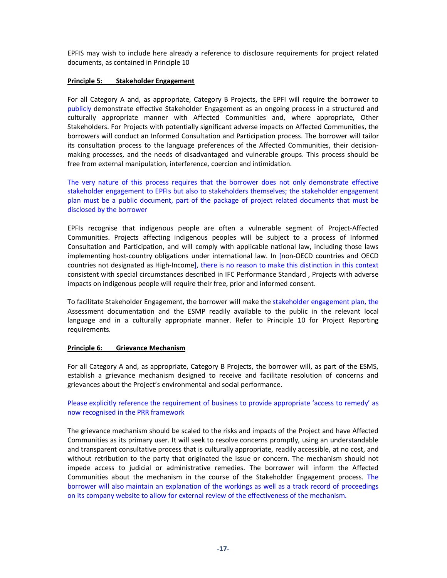EPFIS may wish to include here already a reference to disclosure requirements for project related documents, as contained in Principle 10

#### **Principle 5: Stakeholder Engagement**

For all Category A and, as appropriate, Category B Projects, the EPFI will require the borrower to publicly demonstrate effective Stakeholder Engagement as an ongoing process in a structured and culturally appropriate manner with Affected Communities and, where appropriate, Other Stakeholders. For Projects with potentially significant adverse impacts on Affected Communities, the borrowers will conduct an Informed Consultation and Participation process. The borrower will tailor its consultation process to the language preferences of the Affected Communities, their decisionmaking processes, and the needs of disadvantaged and vulnerable groups. This process should be free from external manipulation, interference, coercion and intimidation.

The very nature of this process requires that the borrower does not only demonstrate effective stakeholder engagement to EPFIs but also to stakeholders themselves; the stakeholder engagement plan must be a public document, part of the package of project related documents that must be disclosed by the borrower

EPFIs recognise that indigenous people are often a vulnerable segment of Project-Affected Communities. Projects affecting indigenous peoples will be subject to a process of Informed Consultation and Participation, and will comply with applicable national law, including those laws implementing host-country obligations under international law. In [non-OECD countries and OECD countries not designated as High-Income], there is no reason to make this distinction in this context consistent with special circumstances described in IFC Performance Standard , Projects with adverse impacts on indigenous people will require their free, prior and informed consent.

To facilitate Stakeholder Engagement, the borrower will make the stakeholder engagement plan, the Assessment documentation and the ESMP readily available to the public in the relevant local language and in a culturally appropriate manner. Refer to Principle 10 for Project Reporting requirements.

#### **Principle 6: Grievance Mechanism**

For all Category A and, as appropriate, Category B Projects, the borrower will, as part of the ESMS, establish a grievance mechanism designed to receive and facilitate resolution of concerns and grievances about the Project's environmental and social performance.

Please explicitly reference the requirement of business to provide appropriate 'access to remedy' as now recognised in the PRR framework

The grievance mechanism should be scaled to the risks and impacts of the Project and have Affected Communities as its primary user. It will seek to resolve concerns promptly, using an understandable and transparent consultative process that is culturally appropriate, readily accessible, at no cost, and without retribution to the party that originated the issue or concern. The mechanism should not impede access to judicial or administrative remedies. The borrower will inform the Affected Communities about the mechanism in the course of the Stakeholder Engagement process. The borrower will also maintain an explanation of the workings as well as a track record of proceedings on its company website to allow for external review of the effectiveness of the mechanism.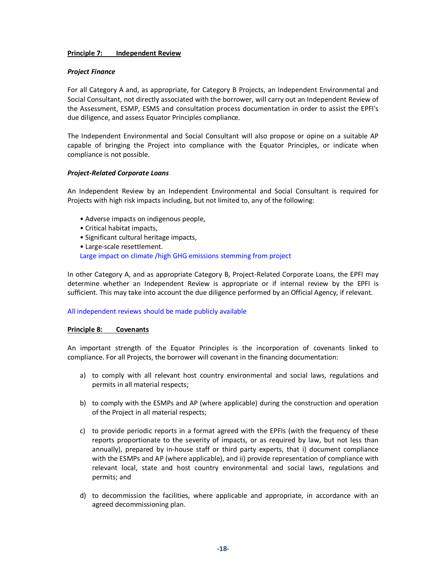#### **Principle 7: Independent Review**

#### *Project Finance*

For all Category A and, as appropriate, for Category B Projects, an Independent Environmental and Social Consultant, not directly associated with the borrower, will carry out an Independent Review of the Assessment, ESMP, ESMS and consultation process documentation in order to assist the EPFI's due diligence, and assess Equator Principles compliance.

The Independent Environmental and Social Consultant will also propose or opine on a suitable AP capable of bringing the Project into compliance with the Equator Principles, or indicate when compliance is not possible.

#### *Project-Related Corporate Loans*

An Independent Review by an Independent Environmental and Social Consultant is required for Projects with high risk impacts including, but not limited to, any of the following:

- Adverse impacts on indigenous people,
- Critical habitat impacts,
- Significant cultural heritage impacts,
- Large-scale resettlement.

Large impact on climate /high GHG emissions stemming from project

In other Category A, and as appropriate Category B, Project-Related Corporate Loans, the EPFI may determine whether an Independent Review is appropriate or if internal review by the EPFI is sufficient. This may take into account the due diligence performed by an Official Agency, if relevant.

#### All independent reviews should be made publicly available

#### **Principle 8: Covenants**

An important strength of the Equator Principles is the incorporation of covenants linked to compliance. For all Projects, the borrower will covenant in the financing documentation:

- a) to comply with all relevant host country environmental and social laws, regulations and permits in all material respects;
- b) to comply with the ESMPs and AP (where applicable) during the construction and operation of the Project in all material respects;
- c) to provide periodic reports in a format agreed with the EPFIs (with the frequency of these reports proportionate to the severity of impacts, or as required by law, but not less than annually), prepared by in-house staff or third party experts, that i) document compliance with the ESMPs and AP (where applicable), and ii) provide representation of compliance with relevant local, state and host country environmental and social laws, regulations and permits; and
- d) to decommission the facilities, where applicable and appropriate, in accordance with an agreed decommissioning plan.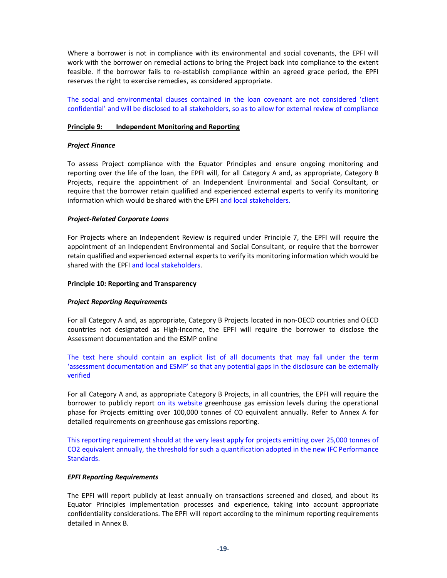Where a borrower is not in compliance with its environmental and social covenants, the EPFI will work with the borrower on remedial actions to bring the Project back into compliance to the extent feasible. If the borrower fails to re-establish compliance within an agreed grace period, the EPFI reserves the right to exercise remedies, as considered appropriate.

The social and environmental clauses contained in the loan covenant are not considered 'client confidential' and will be disclosed to all stakeholders, so as to allow for external review of compliance

#### **Principle 9: Independent Monitoring and Reporting**

#### *Project Finance*

To assess Project compliance with the Equator Principles and ensure ongoing monitoring and reporting over the life of the loan, the EPFI will, for all Category A and, as appropriate, Category B Projects, require the appointment of an Independent Environmental and Social Consultant, or require that the borrower retain qualified and experienced external experts to verify its monitoring information which would be shared with the EPFI and local stakeholders.

#### *Project-Related Corporate Loans*

For Projects where an Independent Review is required under Principle 7, the EPFI will require the appointment of an Independent Environmental and Social Consultant, or require that the borrower retain qualified and experienced external experts to verify its monitoring information which would be shared with the EPFI and local stakeholders.

#### **Principle 10: Reporting and Transparency**

#### *Project Reporting Requirements*

For all Category A and, as appropriate, Category B Projects located in non-OECD countries and OECD countries not designated as High-Income, the EPFI will require the borrower to disclose the Assessment documentation and the ESMP online

The text here should contain an explicit list of all documents that may fall under the term 'assessment documentation and ESMP' so that any potential gaps in the disclosure can be externally verified

For all Category A and, as appropriate Category B Projects, in all countries, the EPFI will require the borrower to publicly report on its website greenhouse gas emission levels during the operational phase for Projects emitting over 100,000 tonnes of CO equivalent annually. Refer to Annex A for detailed requirements on greenhouse gas emissions reporting.

This reporting requirement should at the very least apply for projects emitting over 25,000 tonnes of CO2 equivalent annually, the threshold for such a quantification adopted in the new IFC Performance Standards.

#### *EPFI Reporting Requirements*

The EPFI will report publicly at least annually on transactions screened and closed, and about its Equator Principles implementation processes and experience, taking into account appropriate confidentiality considerations. The EPFI will report according to the minimum reporting requirements detailed in Annex B.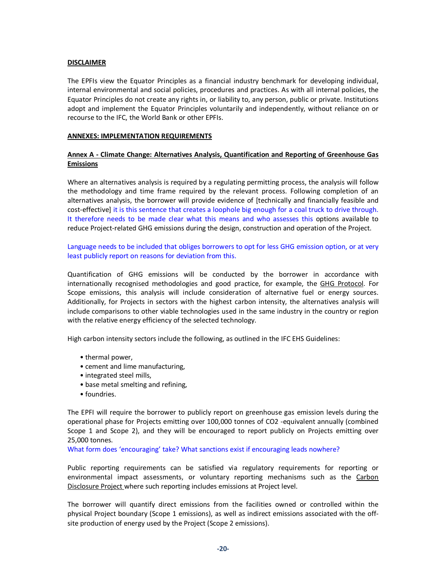#### **DISCLAIMER**

The EPFIs view the Equator Principles as a financial industry benchmark for developing individual, internal environmental and social policies, procedures and practices. As with all internal policies, the Equator Principles do not create any rights in, or liability to, any person, public or private. Institutions adopt and implement the Equator Principles voluntarily and independently, without reliance on or recourse to the IFC, the World Bank or other EPFIs.

#### **ANNEXES: IMPLEMENTATION REQUIREMENTS**

## **Annex A - Climate Change: Alternatives Analysis, Quantification and Reporting of Greenhouse Gas Emissions**

Where an alternatives analysis is required by a regulating permitting process, the analysis will follow the methodology and time frame required by the relevant process. Following completion of an alternatives analysis, the borrower will provide evidence of [technically and financially feasible and cost-effective] it is this sentence that creates a loophole big enough for a coal truck to drive through. It therefore needs to be made clear what this means and who assesses this options available to reduce Project-related GHG emissions during the design, construction and operation of the Project.

Language needs to be included that obliges borrowers to opt for less GHG emission option, or at very least publicly report on reasons for deviation from this.

Quantification of GHG emissions will be conducted by the borrower in accordance with internationally recognised methodologies and good practice, for example, the GHG Protocol. For Scope emissions, this analysis will include consideration of alternative fuel or energy sources. Additionally, for Projects in sectors with the highest carbon intensity, the alternatives analysis will include comparisons to other viable technologies used in the same industry in the country or region with the relative energy efficiency of the selected technology.

High carbon intensity sectors include the following, as outlined in the IFC EHS Guidelines:

- thermal power,
- cement and lime manufacturing,
- integrated steel mills,
- base metal smelting and refining,
- foundries.

The EPFI will require the borrower to publicly report on greenhouse gas emission levels during the operational phase for Projects emitting over 100,000 tonnes of CO2 -equivalent annually (combined Scope 1 and Scope 2), and they will be encouraged to report publicly on Projects emitting over 25,000 tonnes.

What form does 'encouraging' take? What sanctions exist if encouraging leads nowhere?

Public reporting requirements can be satisfied via regulatory requirements for reporting or environmental impact assessments, or voluntary reporting mechanisms such as the Carbon Disclosure Project where such reporting includes emissions at Project level.

The borrower will quantify direct emissions from the facilities owned or controlled within the physical Project boundary (Scope 1 emissions), as well as indirect emissions associated with the offsite production of energy used by the Project (Scope 2 emissions).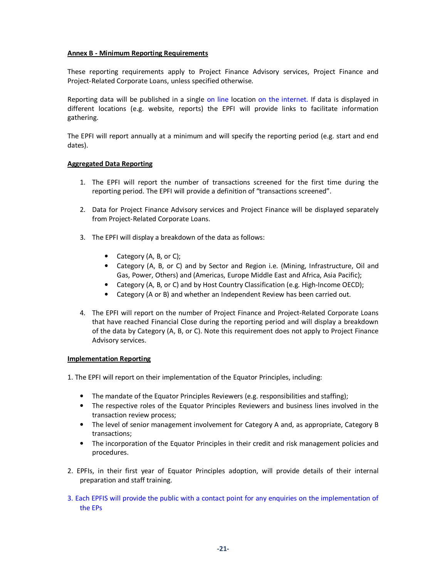#### **Annex B - Minimum Reporting Requirements**

These reporting requirements apply to Project Finance Advisory services, Project Finance and Project-Related Corporate Loans, unless specified otherwise.

Reporting data will be published in a single on line location on the internet. If data is displayed in different locations (e.g. website, reports) the EPFI will provide links to facilitate information gathering.

The EPFI will report annually at a minimum and will specify the reporting period (e.g. start and end dates).

#### **Aggregated Data Reporting**

- 1. The EPFI will report the number of transactions screened for the first time during the reporting period. The EPFI will provide a definition of "transactions screened".
- 2. Data for Project Finance Advisory services and Project Finance will be displayed separately from Project-Related Corporate Loans.
- 3. The EPFI will display a breakdown of the data as follows:
	- Category (A, B, or C);
	- Category (A, B, or C) and by Sector and Region i.e. (Mining, Infrastructure, Oil and Gas, Power, Others) and (Americas, Europe Middle East and Africa, Asia Pacific);
	- Category (A, B, or C) and by Host Country Classification (e.g. High-Income OECD);
	- Category (A or B) and whether an Independent Review has been carried out.
- 4. The EPFI will report on the number of Project Finance and Project-Related Corporate Loans that have reached Financial Close during the reporting period and will display a breakdown of the data by Category (A, B, or C). Note this requirement does not apply to Project Finance Advisory services.

#### **Implementation Reporting**

1. The EPFI will report on their implementation of the Equator Principles, including:

- The mandate of the Equator Principles Reviewers (e.g. responsibilities and staffing);
- The respective roles of the Equator Principles Reviewers and business lines involved in the transaction review process;
- The level of senior management involvement for Category A and, as appropriate, Category B transactions;
- The incorporation of the Equator Principles in their credit and risk management policies and procedures.
- 2. EPFIs, in their first year of Equator Principles adoption, will provide details of their internal preparation and staff training.
- 3. Each EPFIS will provide the public with a contact point for any enquiries on the implementation of the EPs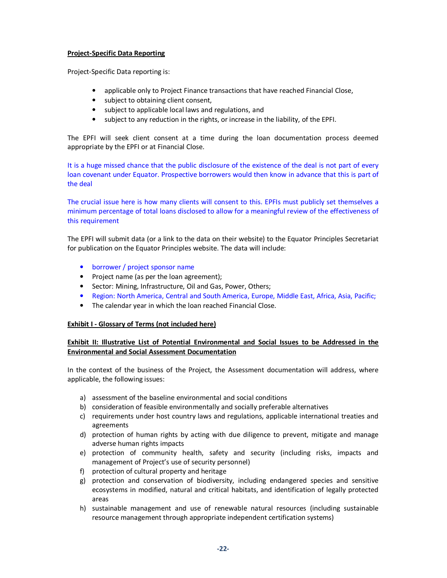#### **Project-Specific Data Reporting**

Project-Specific Data reporting is:

- applicable only to Project Finance transactions that have reached Financial Close,
- subject to obtaining client consent,
- subject to applicable local laws and regulations, and
- subject to any reduction in the rights, or increase in the liability, of the EPFI.

The EPFI will seek client consent at a time during the loan documentation process deemed appropriate by the EPFI or at Financial Close.

It is a huge missed chance that the public disclosure of the existence of the deal is not part of every loan covenant under Equator. Prospective borrowers would then know in advance that this is part of the deal

The crucial issue here is how many clients will consent to this. EPFIs must publicly set themselves a minimum percentage of total loans disclosed to allow for a meaningful review of the effectiveness of this requirement

The EPFI will submit data (or a link to the data on their website) to the Equator Principles Secretariat for publication on the Equator Principles website. The data will include:

- borrower / project sponsor name
- Project name (as per the loan agreement);
- Sector: Mining, Infrastructure, Oil and Gas, Power, Others;
- Region: North America, Central and South America, Europe, Middle East, Africa, Asia, Pacific;
- The calendar year in which the loan reached Financial Close.

#### **Exhibit I - Glossary of Terms (not included here)**

#### **Exhibit II: Illustrative List of Potential Environmental and Social Issues to be Addressed in the Environmental and Social Assessment Documentation**

In the context of the business of the Project, the Assessment documentation will address, where applicable, the following issues:

- a) assessment of the baseline environmental and social conditions
- b) consideration of feasible environmentally and socially preferable alternatives
- c) requirements under host country laws and regulations, applicable international treaties and agreements
- d) protection of human rights by acting with due diligence to prevent, mitigate and manage adverse human rights impacts
- e) protection of community health, safety and security (including risks, impacts and management of Project's use of security personnel)
- f) protection of cultural property and heritage
- g) protection and conservation of biodiversity, including endangered species and sensitive ecosystems in modified, natural and critical habitats, and identification of legally protected areas
- h) sustainable management and use of renewable natural resources (including sustainable resource management through appropriate independent certification systems)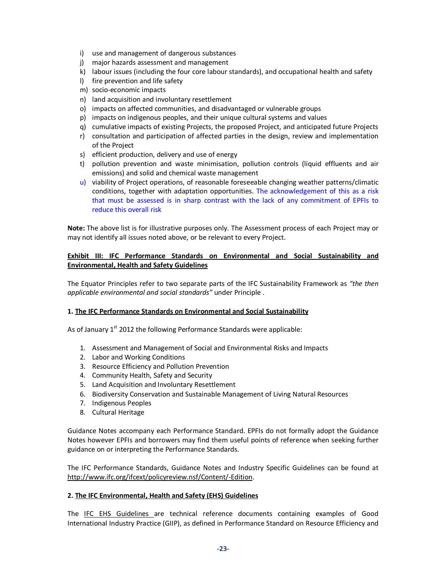- i) use and management of dangerous substances
- j) major hazards assessment and management
- k) labour issues (including the four core labour standards), and occupational health and safety
- l) fire prevention and life safety
- m) socio-economic impacts
- n) land acquisition and involuntary resettlement
- o) impacts on affected communities, and disadvantaged or vulnerable groups
- p) impacts on indigenous peoples, and their unique cultural systems and values
- q) cumulative impacts of existing Projects, the proposed Project, and anticipated future Projects
- r) consultation and participation of affected parties in the design, review and implementation of the Project
- s) efficient production, delivery and use of energy
- t) pollution prevention and waste minimisation, pollution controls (liquid effluents and air emissions) and solid and chemical waste management
- u) viability of Project operations, of reasonable foreseeable changing weather patterns/climatic conditions, together with adaptation opportunities. The acknowledgement of this as a risk that must be assessed is in sharp contrast with the lack of any commitment of EPFIs to reduce this overall risk

**Note:** The above list is for illustrative purposes only. The Assessment process of each Project may or may not identify all issues noted above, or be relevant to every Project.

## **Exhibit III: IFC Performance Standards on Environmental and Social Sustainability and Environmental, Health and Safety Guidelines**

The Equator Principles refer to two separate parts of the IFC Sustainability Framework as *"the then applicable environmental and social standards"* under Principle .

#### **1. The IFC Performance Standards on Environmental and Social Sustainability**

As of January 1<sup>st</sup> 2012 the following Performance Standards were applicable:

- 1. Assessment and Management of Social and Environmental Risks and Impacts
- 2. Labor and Working Conditions
- 3. Resource Efficiency and Pollution Prevention
- 4. Community Health, Safety and Security
- 5. Land Acquisition and Involuntary Resettlement
- 6. Biodiversity Conservation and Sustainable Management of Living Natural Resources
- 7. Indigenous Peoples
- 8. Cultural Heritage

Guidance Notes accompany each Performance Standard. EPFIs do not formally adopt the Guidance Notes however EPFIs and borrowers may find them useful points of reference when seeking further guidance on or interpreting the Performance Standards.

The IFC Performance Standards, Guidance Notes and Industry Specific Guidelines can be found at http://www.ifc.org/ifcext/policyreview.nsf/Content/-Edition.

#### **2. The IFC Environmental, Health and Safety (EHS) Guidelines**

The IFC EHS Guidelines are technical reference documents containing examples of Good International Industry Practice (GIIP), as defined in Performance Standard on Resource Efficiency and